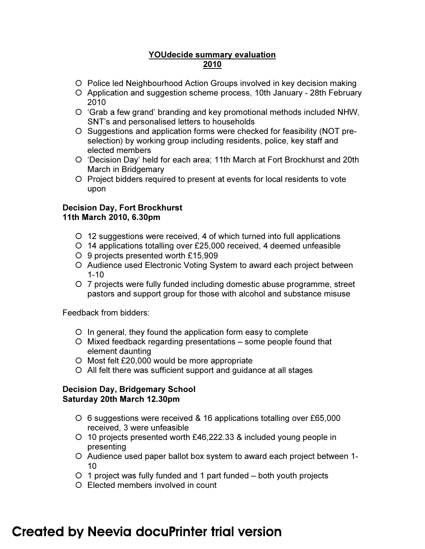## YOUdecide summary evaluation 2010

- Police led Neighbourhood Action Groups involved in key decision making
- Application and suggestion scheme process, 10th January 28th February 2010
- 'Grab a few grand' branding and key promotional methods included NHW, SNT's and personalised letters to households
- O Suggestions and application forms were checked for feasibility (NOT preselection) by working group including residents, police, key staff and elected members
- 'Decision Day' held for each area; 11th March at Fort Brockhurst and 20th March in Bridgemary
- O Project bidders required to present at events for local residents to vote upon

## Decision Day, Fort Brockhurst 11th March 2010, 6.30pm

- 12 suggestions were received, 4 of which turned into full applications
- 14 applications totalling over £25,000 received, 4 deemed unfeasible
- 9 projects presented worth £15,909
- Audience used Electronic Voting System to award each project between 1-10
- 7 projects were fully funded including domestic abuse programme, street pastors and support group for those with alcohol and substance misuse

Feedback from bidders:

- In general, they found the application form easy to complete
- Mixed feedback regarding presentations some people found that element daunting
- Most felt £20,000 would be more appropriate
- All felt there was sufficient support and guidance at all stages

## Decision Day, Bridgemary School Saturday 20th March 12.30pm

- 6 suggestions were received & 16 applications totalling over £65,000 received, 3 were unfeasible
- 10 projects presented worth £46,222.33 & included young people in presenting
- Audience used paper ballot box system to award each project between 1- 10
- $\circ$  1 project was fully funded and 1 part funded  $-$  both youth projects
- Elected members involved in count

## **Created by Neevia docuPrinter trial version**